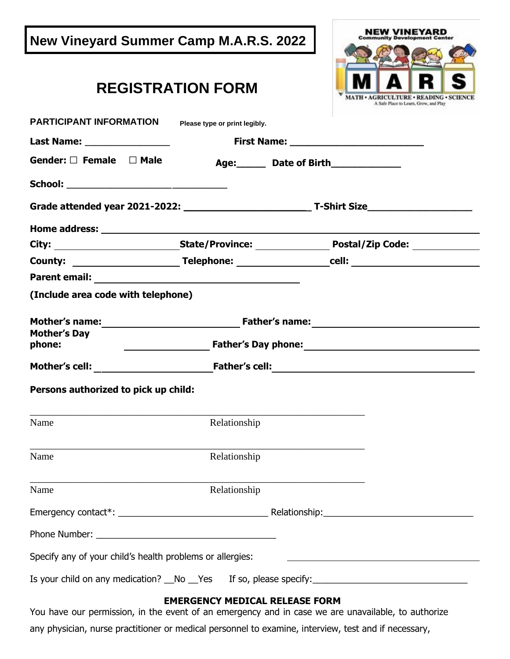| <b>New Vineyard Summer Camp M.A.R.S. 2022</b>                                                      |                                       | NEW VINEYARD                                                                    |
|----------------------------------------------------------------------------------------------------|---------------------------------------|---------------------------------------------------------------------------------|
|                                                                                                    | <b>REGISTRATION FORM</b>              | MATH . AGRICULTURE . READING . SCIENCE<br>A Safe Place to Learn, Grow, and Play |
| PARTICIPANT INFORMATION                                                                            | Please type or print legibly.         |                                                                                 |
| Last Name: __________________                                                                      |                                       |                                                                                 |
| Gender: $\square$ Female $\square$ Male                                                            |                                       | Age: Date of Birth 1991                                                         |
|                                                                                                    |                                       |                                                                                 |
|                                                                                                    |                                       |                                                                                 |
|                                                                                                    |                                       |                                                                                 |
|                                                                                                    |                                       |                                                                                 |
|                                                                                                    |                                       |                                                                                 |
|                                                                                                    |                                       |                                                                                 |
| (Include area code with telephone)                                                                 |                                       |                                                                                 |
|                                                                                                    |                                       |                                                                                 |
| <b>Mother's Day</b><br>phone:                                                                      |                                       |                                                                                 |
|                                                                                                    |                                       |                                                                                 |
| Persons authorized to pick up child:                                                               |                                       |                                                                                 |
| Name                                                                                               | Relationship                          |                                                                                 |
| Name                                                                                               | Relationship                          |                                                                                 |
| Name                                                                                               | Relationship                          |                                                                                 |
|                                                                                                    |                                       |                                                                                 |
|                                                                                                    |                                       |                                                                                 |
| Specify any of your child's health problems or allergies:                                          |                                       |                                                                                 |
|                                                                                                    |                                       |                                                                                 |
| You have our permission, in the event of an emergency and in case we are unavailable, to authorize | <b>EMERGENCY MEDICAL RELEASE FORM</b> |                                                                                 |
|                                                                                                    |                                       |                                                                                 |

any physician, nurse practitioner or medical personnel to examine, interview, test and if necessary,